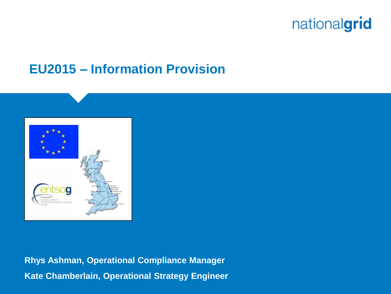#### **EU2015 – Information Provision**



**Rhys Ashman, Operational Compliance Manager Kate Chamberlain, Operational Strategy Engineer**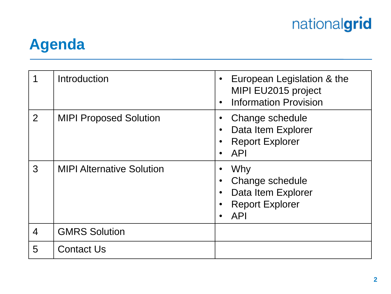

## **Agenda**

| 1              | Introduction                     | European Legislation & the<br>MIPI EU2015 project<br><b>Information Provision</b>                 |
|----------------|----------------------------------|---------------------------------------------------------------------------------------------------|
| $\overline{2}$ | <b>MIPI Proposed Solution</b>    | Change schedule<br>Data Item Explorer<br><b>Report Explorer</b><br><b>API</b>                     |
| 3              | <b>MIPI Alternative Solution</b> | Why<br>$\bullet$<br>Change schedule<br>Data Item Explorer<br><b>Report Explorer</b><br><b>API</b> |
| 4              | <b>GMRS Solution</b>             |                                                                                                   |
| 5              | <b>Contact Us</b>                |                                                                                                   |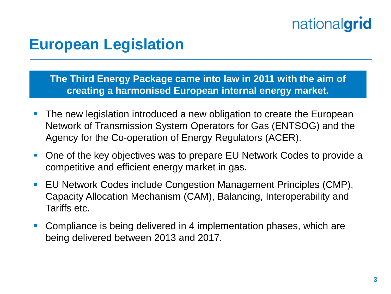#### **European Legislation**

**The Third Energy Package came into law in 2011 with the aim of creating a harmonised European internal energy market.** 

- **The new legislation introduced a new obligation to create the European** Network of Transmission System Operators for Gas (ENTSOG) and the Agency for the Co-operation of Energy Regulators (ACER).
- One of the key objectives was to prepare EU Network Codes to provide a competitive and efficient energy market in gas.
- EU Network Codes include Congestion Management Principles (CMP), Capacity Allocation Mechanism (CAM), Balancing, Interoperability and Tariffs etc.
- Compliance is being delivered in 4 implementation phases, which are being delivered between 2013 and 2017.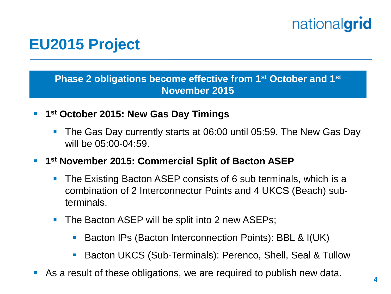### **EU2015 Project**

**Phase 2 obligations become effective from 1st October and 1st November 2015**

- **1 st October 2015: New Gas Day Timings**
	- The Gas Day currently starts at 06:00 until 05:59. The New Gas Day will be 05:00-04:59.
- **1 st November 2015: Commercial Split of Bacton ASEP**
	- The Existing Bacton ASEP consists of 6 sub terminals, which is a combination of 2 Interconnector Points and 4 UKCS (Beach) subterminals.
	- The Bacton ASEP will be split into 2 new ASEPs;
		- Bacton IPs (Bacton Interconnection Points): BBL & I(UK)
		- Bacton UKCS (Sub-Terminals): Perenco, Shell, Seal & Tullow
- As a result of these obligations, we are required to publish new data.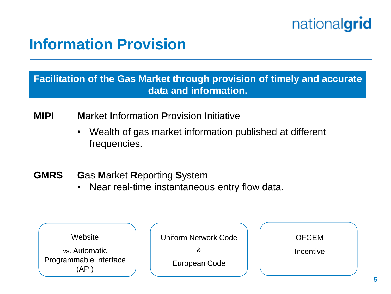### **Information Provision**

**Facilitation of the Gas Market through provision of timely and accurate data and information.**

**MIPI M**arket **I**nformation **P**rovision **I**nitiative

- Wealth of gas market information published at different frequencies.
- **GMRS G**as **M**arket **R**eporting **S**ystem
	- Near real-time instantaneous entry flow data.

| Website                         | <b>Uniform Network Code</b> | <b>OFGEM</b> |
|---------------------------------|-----------------------------|--------------|
| vs. Automatic                   |                             | Incentive    |
| Programmable Interface<br>'API) | European Code               |              |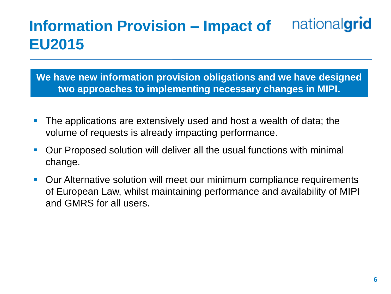#### nationalgrid **Information Provision – Impact of EU2015**

**We have new information provision obligations and we have designed two approaches to implementing necessary changes in MIPI.**

- **The applications are extensively used and host a wealth of data; the** volume of requests is already impacting performance.
- Our Proposed solution will deliver all the usual functions with minimal change.
- Our Alternative solution will meet our minimum compliance requirements of European Law, whilst maintaining performance and availability of MIPI and GMRS for all users.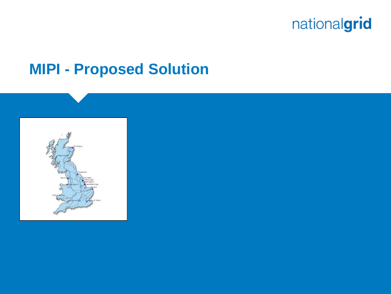

#### **MIPI - Proposed Solution**

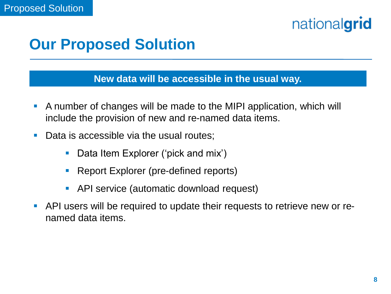### **Our Proposed Solution**

#### **New data will be accessible in the usual way.**

- A number of changes will be made to the MIPI application, which will include the provision of new and re-named data items.
- Data is accessible via the usual routes;
	- Data Item Explorer ('pick and mix')
	- Report Explorer (pre-defined reports)
	- API service (automatic download request)
- API users will be required to update their requests to retrieve new or renamed data items.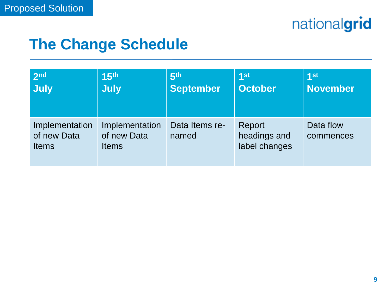| 2 <sub>nd</sub>                                                                                | 15 <sup>th</sup> | 5 <sup>th</sup>         | 1st                                     | 1 <sup>st</sup>        |
|------------------------------------------------------------------------------------------------|------------------|-------------------------|-----------------------------------------|------------------------|
| July                                                                                           | <b>July</b>      | <b>September</b>        | <b>October</b>                          | <b>November</b>        |
| Implementation<br>Implementation<br>of new Data<br>of new Data<br><b>Items</b><br><b>Items</b> |                  | Data Items re-<br>named | Report<br>headings and<br>label changes | Data flow<br>commences |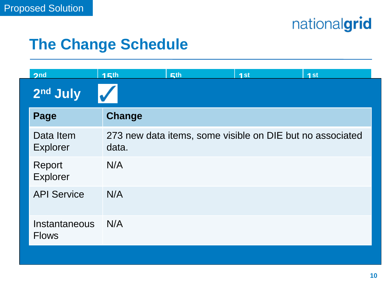| 2 <sub>nd</sub>               | <b>15th</b> | <b>兵th</b> | 1st                                                       | 4st |
|-------------------------------|-------------|------------|-----------------------------------------------------------|-----|
| 2 <sup>nd</sup> July          |             |            |                                                           |     |
| Page                          | Change      |            |                                                           |     |
| Data Item<br><b>Explorer</b>  | data.       |            | 273 new data items, some visible on DIE but no associated |     |
| Report<br>Explorer            | N/A         |            |                                                           |     |
| <b>API Service</b>            | N/A         |            |                                                           |     |
| Instantaneous<br><b>Flows</b> | N/A         |            |                                                           |     |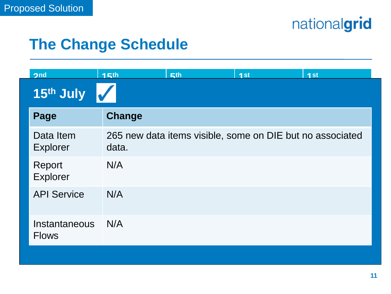| 2 <sub>nd</sub>               | <b>15th</b> | <b>兵th</b> | 4st                                                       | 4st |
|-------------------------------|-------------|------------|-----------------------------------------------------------|-----|
| 15th July                     |             |            |                                                           |     |
| Page                          | Change      |            |                                                           |     |
| Data Item<br>Explorer         | data.       |            | 265 new data items visible, some on DIE but no associated |     |
| Report<br>Explorer            | N/A         |            |                                                           |     |
| <b>API Service</b>            | N/A         |            |                                                           |     |
| Instantaneous<br><b>Flows</b> | N/A         |            |                                                           |     |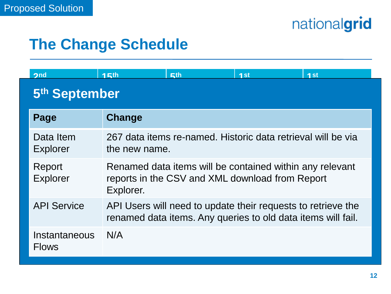| 2nd                           | 15th                                                                                                                         | Fth | 1st | 4st |  |
|-------------------------------|------------------------------------------------------------------------------------------------------------------------------|-----|-----|-----|--|
| 5 <sup>th</sup> September     |                                                                                                                              |     |     |     |  |
| Page                          | Change                                                                                                                       |     |     |     |  |
| Data Item<br>Explorer         | 267 data items re-named. Historic data retrieval will be via<br>the new name.                                                |     |     |     |  |
| Report<br><b>Explorer</b>     | Renamed data items will be contained within any relevant<br>reports in the CSV and XML download from Report<br>Explorer.     |     |     |     |  |
| <b>API Service</b>            | API Users will need to update their requests to retrieve the<br>renamed data items. Any queries to old data items will fail. |     |     |     |  |
| Instantaneous<br><b>Flows</b> | N/A                                                                                                                          |     |     |     |  |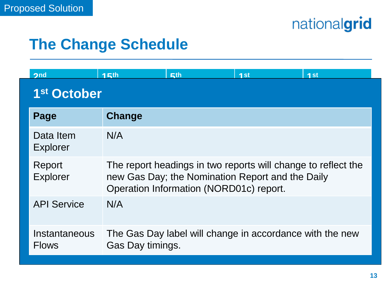| 2nd                           | <b>15th</b>                                                                                                                                                  | Fth | 4st                                                      | 4st |
|-------------------------------|--------------------------------------------------------------------------------------------------------------------------------------------------------------|-----|----------------------------------------------------------|-----|
| 1 <sup>st</sup> October       |                                                                                                                                                              |     |                                                          |     |
| Page                          | Change                                                                                                                                                       |     |                                                          |     |
| Data Item<br><b>Explorer</b>  | N/A                                                                                                                                                          |     |                                                          |     |
| Report<br><b>Explorer</b>     | The report headings in two reports will change to reflect the<br>new Gas Day; the Nomination Report and the Daily<br>Operation Information (NORD01c) report. |     |                                                          |     |
| <b>API Service</b>            | N/A                                                                                                                                                          |     |                                                          |     |
| Instantaneous<br><b>Flows</b> | Gas Day timings.                                                                                                                                             |     | The Gas Day label will change in accordance with the new |     |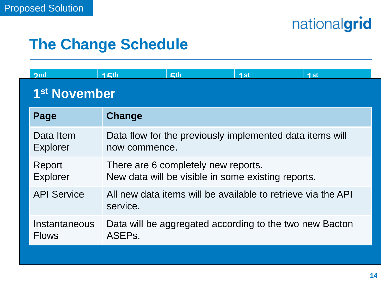| 2nd                           | 15th                                                                                      | <b>兵th</b> | 1st                                                      | 1st |
|-------------------------------|-------------------------------------------------------------------------------------------|------------|----------------------------------------------------------|-----|
| 1 <sup>st</sup> November      |                                                                                           |            |                                                          |     |
| Page                          | Change                                                                                    |            |                                                          |     |
| Data Item<br><b>Explorer</b>  | now commence.                                                                             |            | Data flow for the previously implemented data items will |     |
| Report<br><b>Explorer</b>     | There are 6 completely new reports.<br>New data will be visible in some existing reports. |            |                                                          |     |
| <b>API Service</b>            | All new data items will be available to retrieve via the API<br>service.                  |            |                                                          |     |
| Instantaneous<br><b>Flows</b> | ASEP <sub>s</sub> .                                                                       |            | Data will be aggregated according to the two new Bacton  |     |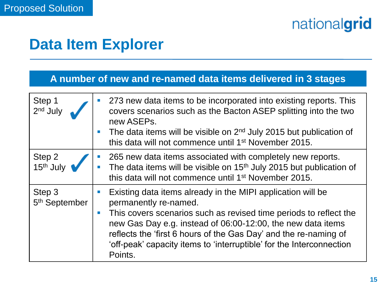### **Data Item Explorer**

#### **A number of new and re-named data items delivered in 3 stages**

| Step 1<br>2 <sup>nd</sup> July      | 273 new data items to be incorporated into existing reports. This<br>covers scenarios such as the Bacton ASEP splitting into the two<br>new ASEPs.<br>The data items will be visible on $2nd$ July 2015 but publication of<br>$\mathcal{C}$<br>this data will not commence until 1 <sup>st</sup> November 2015.                                                                                                   |
|-------------------------------------|-------------------------------------------------------------------------------------------------------------------------------------------------------------------------------------------------------------------------------------------------------------------------------------------------------------------------------------------------------------------------------------------------------------------|
| Step 2<br>15 <sup>th</sup> July     | 265 new data items associated with completely new reports.<br>The data items will be visible on 15 <sup>th</sup> July 2015 but publication of<br>this data will not commence until 1 <sup>st</sup> November 2015.                                                                                                                                                                                                 |
| Step 3<br>5 <sup>th</sup> September | Existing data items already in the MIPI application will be<br>$\mathcal{C}$<br>permanently re-named.<br>This covers scenarios such as revised time periods to reflect the<br>$\mathcal{C}$<br>new Gas Day e.g. instead of 06:00-12:00, the new data items<br>reflects the 'first 6 hours of the Gas Day' and the re-naming of<br>'off-peak' capacity items to 'interruptible' for the Interconnection<br>Points. |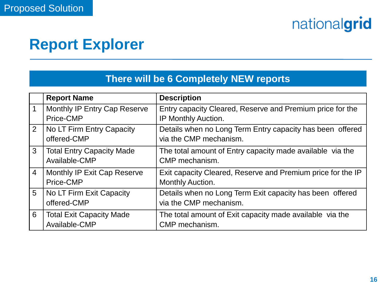### **Report Explorer**

#### **There will be 6 Completely NEW reports**

|                | <b>Report Name</b>                                | <b>Description</b>                                                                  |
|----------------|---------------------------------------------------|-------------------------------------------------------------------------------------|
| 1              | Monthly IP Entry Cap Reserve                      | Entry capacity Cleared, Reserve and Premium price for the                           |
|                | Price-CMP                                         | IP Monthly Auction.                                                                 |
| 2              | No LT Firm Entry Capacity<br>offered-CMP          | Details when no Long Term Entry capacity has been offered<br>via the CMP mechanism. |
| 3              | <b>Total Entry Capacity Made</b><br>Available-CMP | The total amount of Entry capacity made available via the<br>CMP mechanism.         |
| $\overline{4}$ | Monthly IP Exit Cap Reserve<br>Price-CMP          | Exit capacity Cleared, Reserve and Premium price for the IP<br>Monthly Auction.     |
| 5              | No LT Firm Exit Capacity<br>offered-CMP           | Details when no Long Term Exit capacity has been offered<br>via the CMP mechanism.  |
| 6              | <b>Total Exit Capacity Made</b><br>Available-CMP  | The total amount of Exit capacity made available via the<br>CMP mechanism.          |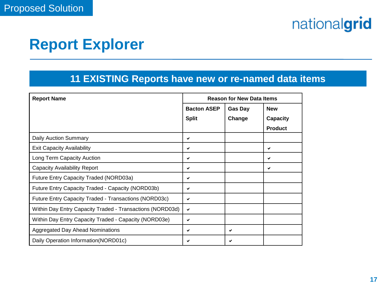### **Report Explorer**

#### **11 EXISTING Reports have new or re-named data items**

| <b>Report Name</b>                                        | <b>Reason for New Data Items</b> |                |                |
|-----------------------------------------------------------|----------------------------------|----------------|----------------|
|                                                           | <b>Bacton ASEP</b>               | <b>Gas Day</b> | <b>New</b>     |
|                                                           | <b>Split</b>                     | Change         | Capacity       |
|                                                           |                                  |                | <b>Product</b> |
| Daily Auction Summary                                     | ✔                                |                |                |
| <b>Exit Capacity Availability</b>                         | ✔                                |                | ✔              |
| Long Term Capacity Auction                                | ✓                                |                | ✓              |
| <b>Capacity Availability Report</b>                       | ✔                                |                | ✓              |
| Future Entry Capacity Traded (NORD03a)                    | ✔                                |                |                |
| Future Entry Capacity Traded - Capacity (NORD03b)         | ✔                                |                |                |
| Future Entry Capacity Traded - Transactions (NORD03c)     | ✔                                |                |                |
| Within Day Entry Capacity Traded - Transactions (NORD03d) | ✔                                |                |                |
| Within Day Entry Capacity Traded - Capacity (NORD03e)     | $\checkmark$                     |                |                |
| <b>Aggregated Day Ahead Nominations</b>                   | ✔                                | ✔              |                |
| Daily Operation Information (NORD01c)                     | ✔                                |                |                |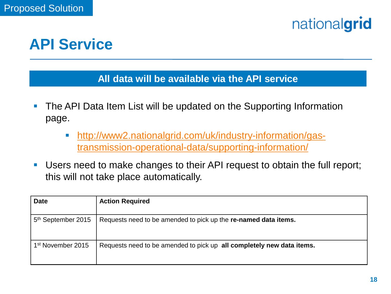

#### **API Service**

#### **All data will be available via the API service**

- **The API Data Item List will be updated on the Supporting Information** page.
	- [http://www2.nationalgrid.com/uk/industry-information/gas](http://www2.nationalgrid.com/uk/industry-information/gas-transmission-operational-data/supporting-information/)[transmission-operational-data/supporting-information/](http://www2.nationalgrid.com/uk/industry-information/gas-transmission-operational-data/supporting-information/)
- Users need to make changes to their API request to obtain the full report; this will not take place automatically.

| <b>Date</b>                    | <b>Action Required</b>                                                |
|--------------------------------|-----------------------------------------------------------------------|
| 5 <sup>th</sup> September 2015 | Requests need to be amended to pick up the re-named data items.       |
| 1 <sup>st</sup> November 2015  | Requests need to be amended to pick up all completely new data items. |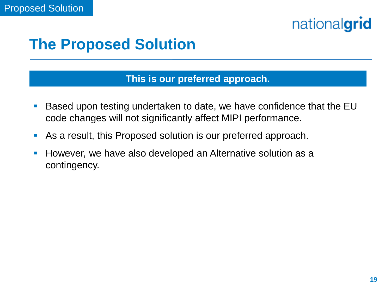### **The Proposed Solution**

#### **This is our preferred approach.**

- Based upon testing undertaken to date, we have confidence that the EU code changes will not significantly affect MIPI performance.
- As a result, this Proposed solution is our preferred approach.
- **However, we have also developed an Alternative solution as a** contingency.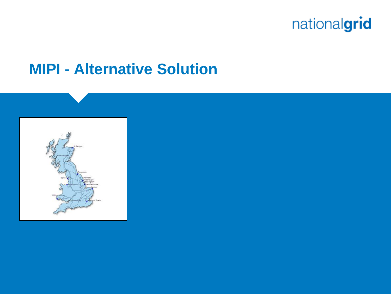

#### **MIPI - Alternative Solution**

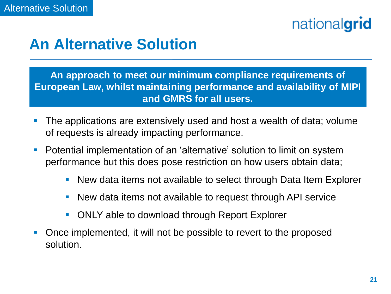#### **An Alternative Solution**

**An approach to meet our minimum compliance requirements of European Law, whilst maintaining performance and availability of MIPI and GMRS for all users.**

- **The applications are extensively used and host a wealth of data; volume** of requests is already impacting performance.
- **•** Potential implementation of an 'alternative' solution to limit on system performance but this does pose restriction on how users obtain data;
	- New data items not available to select through Data Item Explorer
	- New data items not available to request through API service
	- ONLY able to download through Report Explorer
- Once implemented, it will not be possible to revert to the proposed solution.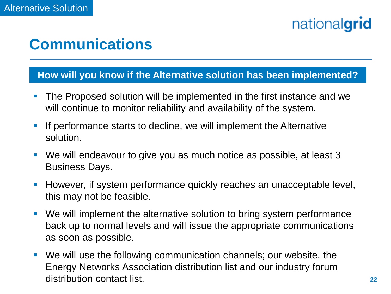### **Communications**

#### **How will you know if the Alternative solution has been implemented?**

- **The Proposed solution will be implemented in the first instance and we** will continue to monitor reliability and availability of the system.
- **If performance starts to decline, we will implement the Alternative** solution.
- We will endeavour to give you as much notice as possible, at least 3 Business Days.
- **However, if system performance quickly reaches an unacceptable level,** this may not be feasible.
- We will implement the alternative solution to bring system performance back up to normal levels and will issue the appropriate communications as soon as possible.
- We will use the following communication channels; our website, the Energy Networks Association distribution list and our industry forum distribution contact list.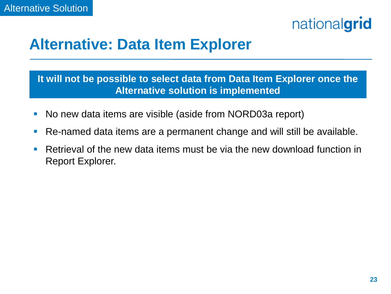### **Alternative: Data Item Explorer**

**It will not be possible to select data from Data Item Explorer once the Alternative solution is implemented**

- **No new data items are visible (aside from NORD03a report)**
- Re-named data items are a permanent change and will still be available.
- Retrieval of the new data items must be via the new download function in Report Explorer.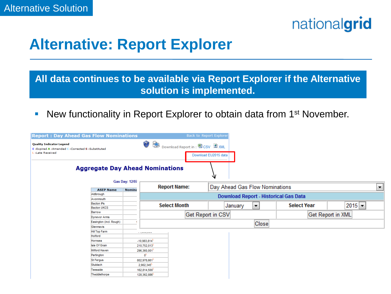

### **Alternative: Report Explorer**

#### **All data continues to be available via Report Explorer if the Alternative solution is implemented.**

• New functionality in Report Explorer to obtain data from 1<sup>st</sup> November.

| <b>Report: Day Ahead Gas Flow Nominations</b>                                                               | Back to Report Explorer |                |                                       |                                 |                   |                                     |         |   |                    |          |
|-------------------------------------------------------------------------------------------------------------|-------------------------|----------------|---------------------------------------|---------------------------------|-------------------|-------------------------------------|---------|---|--------------------|----------|
| <b>Quality Indicator Legend</b><br>E : Expired A : Amended C : Corrected S : Substituted<br>L:Late Received |                         |                | B<br>S                                | Download Report in: 图 CSV 图 XML |                   | Download EU2015 data                |         |   |                    |          |
| <b>Aggregate Day Ahead Nominations</b><br>₩<br><b>Gas Day: 12/07</b>                                        |                         |                |                                       |                                 |                   |                                     |         |   |                    |          |
|                                                                                                             |                         |                | <b>Report Name:</b>                   |                                 |                   | Day Ahead Gas Flow Nominations<br>▼ |         |   |                    |          |
|                                                                                                             | <b>ASEP Name</b>        | <b>Nomina</b>  |                                       |                                 |                   |                                     |         |   |                    |          |
| Aldbrough                                                                                                   |                         |                | Download Report - Historical Gas Data |                                 |                   |                                     |         |   |                    |          |
|                                                                                                             | Avonmouth               |                |                                       |                                 |                   |                                     |         |   |                    |          |
|                                                                                                             | <b>Bacton IPs</b>       |                |                                       | <b>Select Month</b>             |                   |                                     | January | ۰ | <b>Select Year</b> | $2015 -$ |
| <b>Bacton UKCS</b>                                                                                          |                         |                |                                       |                                 |                   |                                     |         |   |                    |          |
| Barrow                                                                                                      |                         |                |                                       |                                 | Get Report in CSV |                                     |         |   | Get Report in XML  |          |
| Dynevor Arms                                                                                                |                         |                |                                       |                                 |                   |                                     |         |   |                    |          |
|                                                                                                             | Easington (incl. Rough) |                |                                       |                                 | Close             |                                     |         |   |                    |          |
|                                                                                                             | Glenmavis               |                |                                       |                                 |                   |                                     |         |   |                    |          |
| Hill Top Farm                                                                                               |                         |                | <b><i>Construction Company</i></b>    |                                 |                   |                                     |         |   |                    |          |
| <b>Holford</b>                                                                                              |                         |                |                                       |                                 |                   |                                     |         |   |                    |          |
| Hornsea                                                                                                     |                         |                | $-10.983.814$                         |                                 |                   |                                     |         |   |                    |          |
| Isle Of Grain                                                                                               |                         |                | 210.752.013                           |                                 |                   |                                     |         |   |                    |          |
| Milford Haven<br>Partington<br><b>St Fergus</b><br>Stublach<br>Teesside                                     |                         |                | 296,360,001                           |                                 |                   |                                     |         |   |                    |          |
|                                                                                                             |                         | 0 <sup>L</sup> |                                       |                                 |                   |                                     |         |   |                    |          |
|                                                                                                             |                         | 802,978,661    |                                       |                                 |                   |                                     |         |   |                    |          |
|                                                                                                             |                         |                | 2,902,345                             |                                 |                   |                                     |         |   |                    |          |
|                                                                                                             |                         |                | 162,814,500                           |                                 |                   |                                     |         |   |                    |          |
| Theddlethorpe                                                                                               |                         |                | 128,362,886                           |                                 |                   |                                     |         |   |                    |          |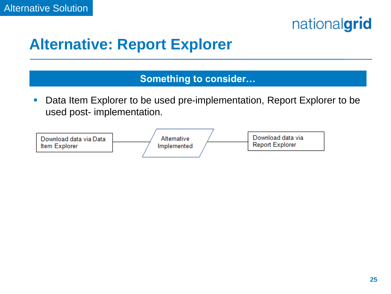

## **Alternative: Report Explorer**

#### **Something to consider…**

■ Data Item Explorer to be used pre-implementation, Report Explorer to be used post- implementation.

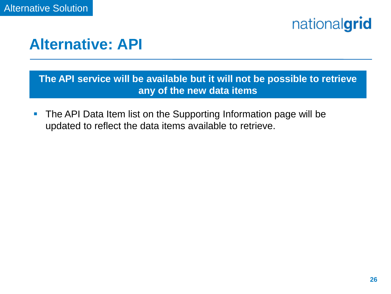



#### **The API service will be available but it will not be possible to retrieve any of the new data items**

 The API Data Item list on the Supporting Information page will be updated to reflect the data items available to retrieve.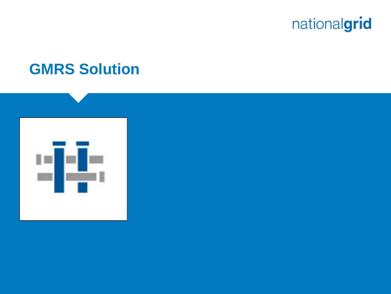

#### **GMRS Solution**

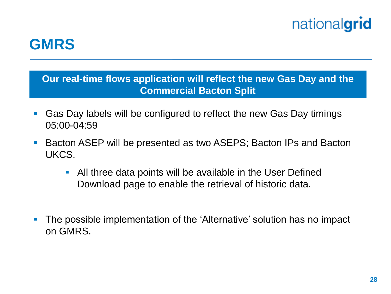### **GMRS**

**Our real-time flows application will reflect the new Gas Day and the Commercial Bacton Split**

- Gas Day labels will be configured to reflect the new Gas Day timings 05:00-04:59
- Bacton ASEP will be presented as two ASEPS; Bacton IPs and Bacton UKCS.
	- All three data points will be available in the User Defined Download page to enable the retrieval of historic data.
- The possible implementation of the 'Alternative' solution has no impact on GMRS.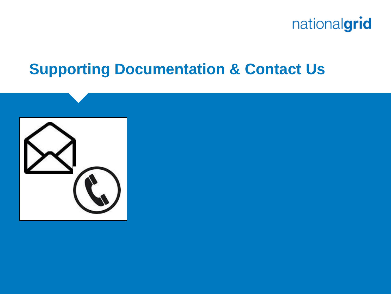

#### **Supporting Documentation & Contact Us**

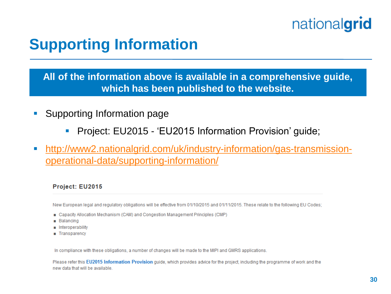## **Supporting Information**

**All of the information above is available in a comprehensive guide, which has been published to the website.**

- **Supporting Information page** 
	- **Project: EU2015 'EU2015 Information Provision' guide;**
- [http://www2.nationalgrid.com/uk/industry-information/gas-transmission](http://www2.nationalgrid.com/uk/industry-information/gas-transmission-operational-data/supporting-information/)[operational-data/supporting-information/](http://www2.nationalgrid.com/uk/industry-information/gas-transmission-operational-data/supporting-information/)

#### Project: EU2015

New European legal and regulatory obligations will be effective from 01/10/2015 and 01/11/2015. These relate to the following EU Codes;

- Capacity Allocation Mechanism (CAM) and Congestion Management Principles (CMP)
- **Balancing**
- Interoperability
- **Transparency**

In compliance with these obligations, a number of changes will be made to the MIPI and GMRS applications.

Please refer this EU2015 Information Provision guide, which provides advice for the project, including the programme of work and the new data that will be available.